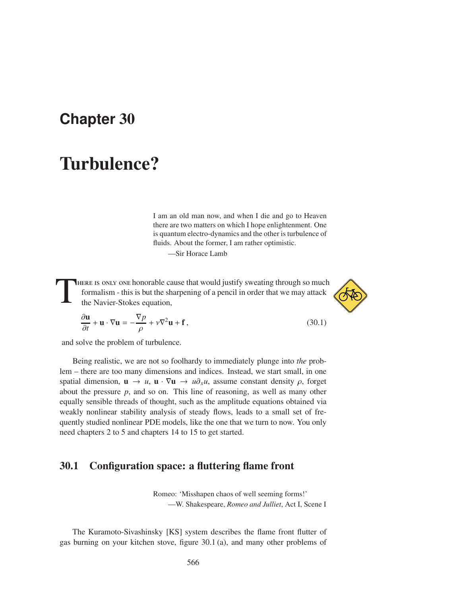## **Chapter** 30

# Turbulence?

I am an old man now, and when I die and go to Heaven there are two matters on which I hope enlightenment. One is quantum electro-dynamics and the other is turbulence of fluids. About the former, I am rather optimistic.

—Sir Horace Lamb

T here is only one honorable cause that would justify sweating through so much formalism - this is but the sharpening of a pencil in order that we may attack the Navier-Stokes equation,



$$
\frac{\partial \mathbf{u}}{\partial t} + \mathbf{u} \cdot \nabla \mathbf{u} = -\frac{\nabla p}{\rho} + \nu \nabla^2 \mathbf{u} + \mathbf{f},
$$
\n(30.1)

\nand solve the problem of turbulence.

∂u

Being realistic, we are not so foolhardy to immediately plunge into *the* problem – there are too many dimensions and indices. Instead, we start small, in one spatial dimension,  $\mathbf{u} \to u$ ,  $\mathbf{u} \cdot \nabla \mathbf{u} \to u \partial_x u$ , assume constant density  $\rho$ , forget about the pressure *p*, and so on. This line of reasoning, as well as many other equally sensible threads of thought, such as the amplitude equations obtained via weakly nonlinear stability analysis of steady flows, leads to a small set of frequently studied nonlinear PDE models, like the one that we turn to now. You only need chapters 2 to 5 and chapters 14 to 15 to get started.

#### 30.1 Configuration space: a fluttering flame front

Romeo: 'Misshapen chaos of well seeming forms!' —W. Shakespeare, *Romeo and Julliet*, Act I, Scene I

The Kuramoto-Sivashinsky [KS] system describes the flame front flutter of gas burning on your kitchen stove, figure 30.1 (a), and many other problems of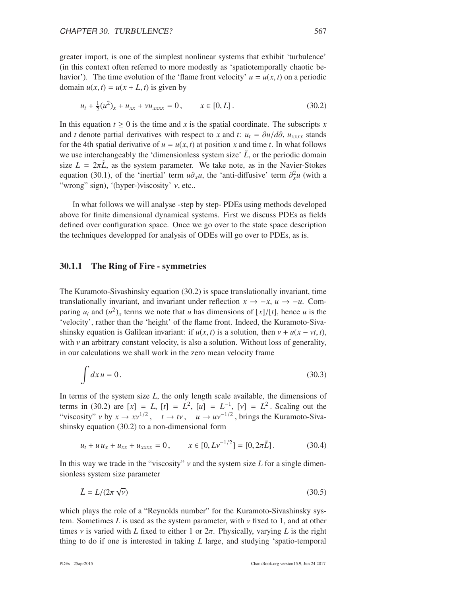greater import, is one of the simplest nonlinear systems that exhibit 'turbulence' (in this context often referred to more modestly as 'spatiotemporally chaotic behavior'). The time evolution of the 'flame front velocity'  $u = u(x, t)$  on a periodic domain  $u(x, t) = u(x + L, t)$  is given by

$$
u_t + \frac{1}{2}(u^2)_x + u_{xx} + \nu u_{xxxx} = 0, \qquad x \in [0, L].
$$
 (30.2)

In this equation  $t \geq 0$  is the time and *x* is the spatial coordinate. The subscripts *x* and *t* denote partial derivatives with respect to *x* and *t*:  $u_t = \frac{\partial u}{\partial \theta}$ ,  $u_{xxxx}$  stands for the 4th spatial derivative of  $u = u(x, t)$  at position x and time t. In what follows we use interchangeably the 'dimensionless system size'  $\tilde{L}$ , or the periodic domain size  $L = 2\pi \tilde{L}$ , as the system parameter. We take note, as in the Navier-Stokes equation (30.1), of the 'inertial' term  $u\partial_x u$ , the 'anti-diffusive' term  $\partial_x^2 u$  (with a "wrong" sign), '(hyper-)viscosity'  $\nu$ , etc..

In what follows we will analyse -step by step- PDEs using methods developed above for finite dimensional dynamical systems. First we discuss PDEs as fields defined over configuration space. Once we go over to the state space description the techniques developped for analysis of ODEs will go over to PDEs, as is.

#### 30.1.1 The Ring of Fire - symmetries

The Kuramoto-Sivashinsky equation (30.2) is space translationally invariant, time translationally invariant, and invariant under reflection  $x \to -x$ ,  $u \to -u$ . Comparing  $u_t$  and  $(u^2)_x$  terms we note that *u* has dimensions of [*x*]/[*t*], hence *u* is the 'velocity', rather than the 'height' of the flame front. Indeed, the Kuramoto-Sivashinsky equation is Galilean invariant: if  $u(x, t)$  is a solution, then  $v + u(x - vt, t)$ , with  $\nu$  an arbitrary constant velocity, is also a solution. Without loss of generality, in our calculations we shall work in the zero mean velocity frame

$$
\int dx u = 0. \tag{30.3}
$$

In terms of the system size *L*, the only length scale available, the dimensions of terms in (30.2) are  $[x] = L$ ,  $[t] = L^2$ ,  $[u] = L^{-1}$ ,  $[v] = L^2$ . Scaling out the "viscosity"  $v$  by  $x \to xv^{1/2}$ ,  $t \to tv$ ,  $u \to uv^{-1/2}$ , brings the Kuramoto-Sivashinsky equation (30.2) to a non-dimensional form

$$
u_t + u u_x + u_{xx} + u_{xxxx} = 0, \qquad x \in [0, Lv^{-1/2}] = [0, 2\pi \tilde{L}]. \tag{30.4}
$$

In this way we trade in the "viscosity" ν and the system size *L* for a single dimensionless system size parameter

$$
\tilde{L} = L/(2\pi\sqrt{\nu})\tag{30.5}
$$

which plays the role of a "Reynolds number" for the Kuramoto-Sivashinsky system. Sometimes *L* is used as the system parameter, with ν fixed to 1, and at other times  $\nu$  is varied with *L* fixed to either 1 or  $2\pi$ . Physically, varying *L* is the right thing to do if one is interested in taking *L* large, and studying 'spatio-temporal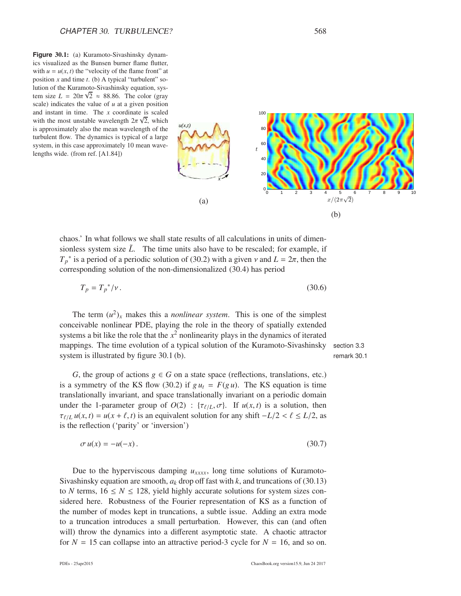**Figure** 30.1: (a) Kuramoto-Sivashinsky dynamics visualized as the Bunsen burner flame flutter, with  $u = u(x, t)$  the "velocity of the flame front" at position *x* and time *t*. (b) A typical "turbulent" solution of the Kuramoto-Sivashinsky equation, system size  $L = 20\pi\sqrt{2} \approx 88.86$ . The color (gray scale) indicates the value of *u* at a given position and instant in time. The *x* coordinate is scaled with the most unstable wavelength  $2\pi\sqrt{2}$ , which is approximately also the mean wavelength of the turbulent flow. The dynamics is typical of a large system, in this case approximately 10 mean wavelengths wide. (from ref. [A1.84])



chaos.' In what follows we shall state results of all calculations in units of dimensionless system size  $\tilde{L}$ . The time units also have to be rescaled; for example, if  $T_p^*$  is a period of a periodic solution of (30.2) with a given  $\nu$  and  $L = 2\pi$ , then the corresponding solution of the non-dimensionalized (30.4) has period

$$
T_p = T_p^* / \nu. \tag{30.6}
$$

The term  $(u^2)_x$  makes this a *nonlinear system*. This is one of the simplest conceivable nonlinear PDE, playing the role in the theory of spatially extended systems a bit like the role that the  $x^2$  nonlinearity plays in the dynamics of iterated mappings. The time evolution of a typical solution of the Kuramoto-Sivashinsky section 3.3 system is illustrated by figure 30.1 (b). The remark 30.1

*G*, the group of actions  $g \in G$  on a state space (reflections, translations, etc.) is a symmetry of the KS flow (30.2) if  $g u_t = F(g u)$ . The KS equation is time translationally invariant, and space translationally invariant on a periodic domain under the 1-parameter group of  $O(2)$ : { $\tau_{\ell/L}, \sigma$ }. If  $u(x, t)$  is a solution, then  $\tau_{\ell/L} u(x, t) = u(x + \ell, t)$  is an equivalent solution for any shift  $-L/2 < \ell \leq L/2$ , as is the reflection ('parity' or 'inversion')

$$
\sigma u(x) = -u(-x). \tag{30.7}
$$

Due to the hyperviscous damping  $u_{xxxx}$ , long time solutions of Kuramoto-Sivashinsky equation are smooth,  $a_k$  drop off fast with  $k$ , and truncations of (30.13) to *N* terms,  $16 \le N \le 128$ , yield highly accurate solutions for system sizes considered here. Robustness of the Fourier representation of KS as a function of the number of modes kept in truncations, a subtle issue. Adding an extra mode to a truncation introduces a small perturbation. However, this can (and often will) throw the dynamics into a different asymptotic state. A chaotic attractor for  $N = 15$  can collapse into an attractive period-3 cycle for  $N = 16$ , and so on.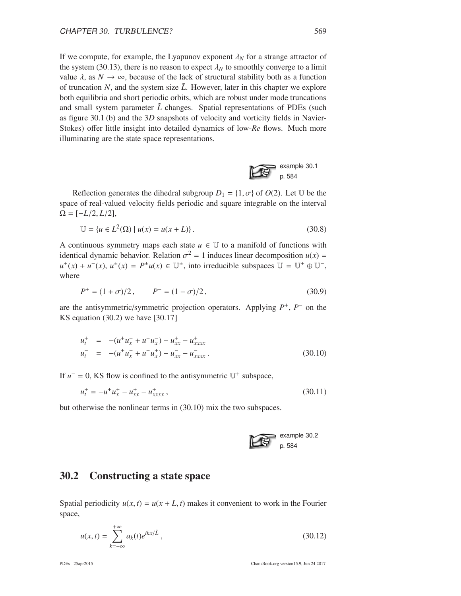If we compute, for example, the Lyapunov exponent  $\lambda_N$  for a strange attractor of the system (30.13), there is no reason to expect  $\lambda_N$  to smoothly converge to a limit value  $\lambda$ , as  $N \to \infty$ , because of the lack of structural stability both as a function of truncation N, and the system size  $\tilde{L}$ . However, later in this chapter we explore both equilibria and short periodic orbits, which are robust under mode truncations and small system parameter  $\tilde{L}$  changes. Spatial representations of PDEs (such as figure 30.1 (b) and the 3*D* snapshots of velocity and vorticity fields in Navier-Stokes) offer little insight into detailed dynamics of low-*Re* flows. Much more illuminating are the state space representations.



Reflection generates the dihedral subgroup  $D_1 = \{1, \sigma\}$  of  $O(2)$ . Let U be the space of real-valued velocity fields periodic and square integrable on the interval  $\Omega = [-L/2, L/2],$ 

$$
\mathbb{U} = \{ u \in L^{2}(\Omega) \mid u(x) = u(x + L) \}.
$$
\n(30.8)

A continuous symmetry maps each state  $u \in U$  to a manifold of functions with identical dynamic behavior. Relation  $\sigma^2 = 1$  induces linear decomposition  $u(x) =$  $u^+(x) + u^-(x), u^{\pm}(x) = P^{\pm}u(x) \in \mathbb{U}^{\pm}$ , into irreducible subspaces  $\mathbb{U} = \mathbb{U}^+ \oplus \mathbb{U}^-$ , where

$$
P^{+} = (1 + \sigma)/2, \qquad P^{-} = (1 - \sigma)/2, \qquad (30.9)
$$

are the antisymmetric/symmetric projection operators. Applying  $P^+$ ,  $P^-$  on the KS equation (30.2) we have [30.17]

$$
u_t^+ = -(u^+ u_x^+ + u^- u_x^-) - u_{xx}^+ - u_{xxxx}^+ u_t^- = -(u^+ u_x^- + u^- u_x^+) - u_{xx}^- - u_{xxxx}^-.
$$
 (30.10)

If  $u^- = 0$ , KS flow is confined to the antisymmetric  $U^+$  subspace,

$$
u_t^+ = -u^+ u_x^+ - u_{xxx}^+ - u_{xxxx}^+, \tag{30.11}
$$

but otherwise the nonlinear terms in (30.10) mix the two subspaces.



### 30.2 Constructing a state space

Spatial periodicity  $u(x, t) = u(x + L, t)$  makes it convenient to work in the Fourier space,

$$
u(x,t) = \sum_{k=-\infty}^{+\infty} a_k(t)e^{ikx/\tilde{L}},
$$
\n(30.12)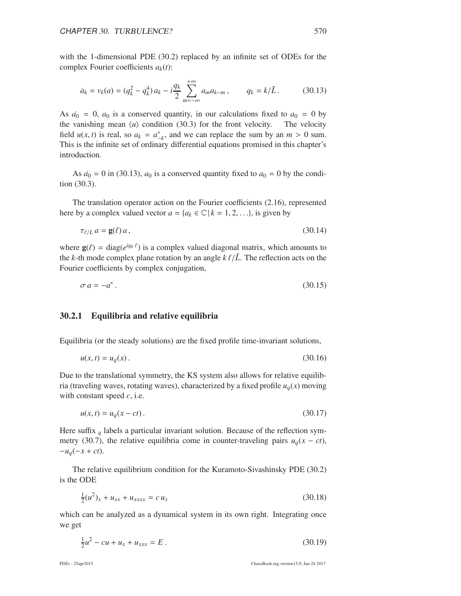with the 1-dimensional PDE (30.2) replaced by an infinite set of ODEs for the complex Fourier coefficients  $a_k(t)$ :

$$
\dot{a}_k = v_k(a) = (q_k^2 - q_k^4) a_k - i \frac{q_k}{2} \sum_{m = -\infty}^{+\infty} a_m a_{k-m}, \qquad q_k = k/\tilde{L} \,. \tag{30.13}
$$

As  $\dot{a}_0 = 0$ ,  $a_0$  is a conserved quantity, in our calculations fixed to  $a_0 = 0$  by the vanishing mean  $\langle u \rangle$  condition (30.3) for the front velocity. The velocity field  $u(x, t)$  is real, so  $a_k = a_{-k}^*$ , and we can replace the sum by an  $m > 0$  sum. This is the infinite set of ordinary differential equations promised in this chapter's introduction.

As  $\dot{a}_0 = 0$  in (30.13),  $a_0$  is a conserved quantity fixed to  $a_0 = 0$  by the condition (30.3).

The translation operator action on the Fourier coefficients (2.16), represented here by a complex valued vector  $a = \{a_k \in \mathbb{C} \mid k = 1, 2, \ldots\}$ , is given by

$$
\tau_{\ell/L} a = \mathbf{g}(\ell) a, \tag{30.14}
$$

where  $\mathbf{g}(\ell) = \text{diag}(e^{iq_k \ell})$  is a complex valued diagonal matrix, which amounts to the *k*-th mode complex plane rotation by an angle  $k \ell / L$ . The reflection acts on the Fourier coefficients by complex conjugation,

$$
\sigma a = -a^* \tag{30.15}
$$

#### 30.2.1 Equilibria and relative equilibria

Equilibria (or the steady solutions) are the fixed profile time-invariant solutions,

$$
u(x,t) = u_q(x).
$$
 (30.16)

Due to the translational symmetry, the KS system also allows for relative equilibria (traveling waves, rotating waves), characterized by a fixed profile  $u_q(x)$  moving with constant speed *c*, i.e.

$$
u(x,t) = u_q(x-ct).
$$
 (30.17)

Here suffix *<sup>q</sup>* labels a particular invariant solution. Because of the reflection symmetry (30.7), the relative equilibria come in counter-traveling pairs  $u_q(x - ct)$ , −*uq*(−*x* + *ct*).

The relative equilibrium condition for the Kuramoto-Sivashinsky PDE (30.2) is the ODE

$$
\frac{1}{2}(u^2)_x + u_{xx} + u_{xxxx} = c u_x \tag{30.18}
$$

which can be analyzed as a dynamical system in its own right. Integrating once we get

$$
\frac{1}{2}u^2 - cu + u_x + u_{xxx} = E.
$$
 (30.19)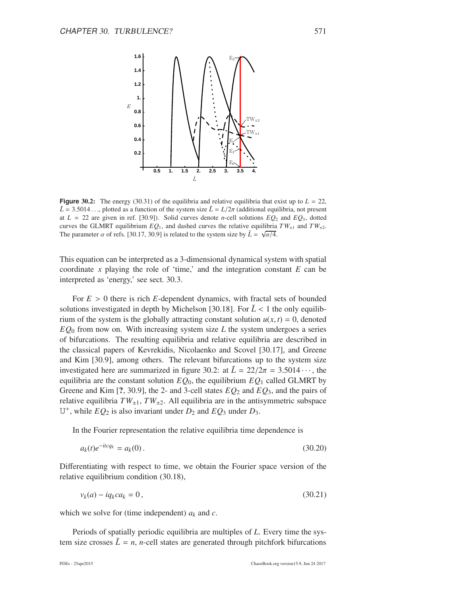

**Figure** 30.2: The energy (30.31) of the equilibria and relative equilibria that exist up to  $L = 22$ ,  $\tilde{L} = 3.5014...$ , plotted as a function of the system size  $\tilde{L} = L/2\pi$  (additional equilibria, not present at  $L = 22$  are given in ref. [30.9]). Solid curves denote *n*-cell solutions  $EQ_2$  and  $EQ_3$ , dotted curves the GLMRT equilibrium  $EQ_1$ , and dashed curves the relative equilibria  $TW_{\pm 1}$  and  $TW_{\pm 2}$ . The parameter  $\alpha$  of refs. [30.17, 30.9] is related to the system size by  $\tilde{L} = \sqrt{\alpha/4}$ .

This equation can be interpreted as a 3-dimensional dynamical system with spatial coordinate  $x$  playing the role of 'time,' and the integration constant  $E$  can be interpreted as 'energy,' see sect. 30.3.

For  $E > 0$  there is rich *E*-dependent dynamics, with fractal sets of bounded solutions investigated in depth by Michelson [30.18]. For  $\tilde{L}$  < 1 the only equilibrium of the system is the globally attracting constant solution  $u(x, t) = 0$ , denoted  $EQ<sub>0</sub>$  from now on. With increasing system size *L* the system undergoes a series of bifurcations. The resulting equilibria and relative equilibria are described in the classical papers of Kevrekidis, Nicolaenko and Scovel [30.17], and Greene and Kim [30.9], among others. The relevant bifurcations up to the system size investigated here are summarized in figure 30.2: at  $\tilde{L} = 22/2\pi = 3.5014 \cdots$ , the equilibria are the constant solution  $EQ_0$ , the equilibrium  $EQ_1$  called GLMRT by Greene and Kim [?, 30.9], the 2- and 3-cell states *EQ*<sup>2</sup> and *EQ*3, and the pairs of relative equilibria  $TW_{\pm 1}$ ,  $TW_{\pm 2}$ . All equilibria are in the antisymmetric subspace  $U^+$ , while  $EQ_2$  is also invariant under  $D_2$  and  $EQ_3$  under  $D_3$ .

In the Fourier representation the relative equilibria time dependence is

$$
a_k(t)e^{-itcq_k} = a_k(0). \tag{30.20}
$$

Differentiating with respect to time, we obtain the Fourier space version of the relative equilibrium condition (30.18),

$$
v_k(a) - iq_kca_k = 0, \qquad (30.21)
$$

which we solve for (time independent)  $a_k$  and  $c$ .

Periods of spatially periodic equilibria are multiples of *L*. Every time the system size crosses  $\tilde{L} = n$ , *n*-cell states are generated through pitchfork bifurcations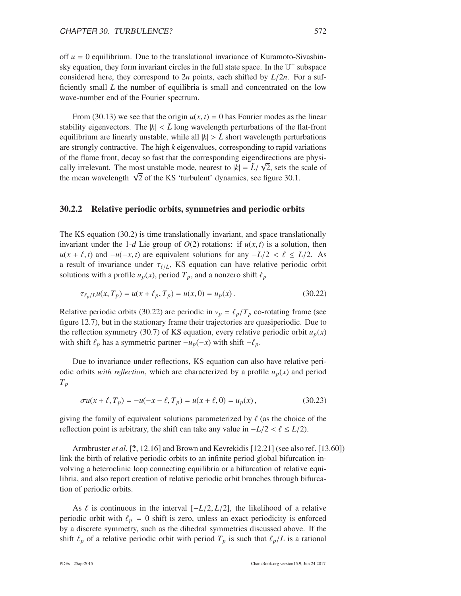off  $u = 0$  equilibrium. Due to the translational invariance of Kuramoto-Sivashinsky equation, they form invariant circles in the full state space. In the  $\mathbb{U}^+$  subspace considered here, they correspond to 2*n* points, each shifted by  $L/2n$ . For a sufficiently small *L* the number of equilibria is small and concentrated on the low wave-number end of the Fourier spectrum.

From (30.13) we see that the origin  $u(x, t) = 0$  has Fourier modes as the linear stability eigenvectors. The  $|k| < L$  long wavelength perturbations of the flat-front equilibrium are linearly unstable, while all  $|k| > L$  short wavelength perturbations are strongly contractive. The high *k* eigenvalues, corresponding to rapid variations of the flame front, decay so fast that the corresponding eigendirections are physically irrelevant. The most unstable mode, nearest to  $|k| = \tilde{L}/\sqrt{2}$ , sets the scale of the mean wavelength  $\sqrt{2}$  of the KS 'turbulent' dynamics, see figure 30.1.

#### 30.2.2 Relative periodic orbits, symmetries and periodic orbits

The KS equation (30.2) is time translationally invariant, and space translationally invariant under the 1-*d* Lie group of  $O(2)$  rotations: if  $u(x, t)$  is a solution, then  $u(x + \ell, t)$  and  $-u(-x, t)$  are equivalent solutions for any  $-L/2 < \ell \leq L/2$ . As a result of invariance under  $\tau_{\ell/L}$ , KS equation can have relative periodic orbit solutions with a profile  $u_p(x)$ , period  $T_p$ , and a nonzero shift  $\ell_p$ 

$$
\tau_{\ell_p/L}u(x, T_p) = u(x + \ell_p, T_p) = u(x, 0) = u_p(x).
$$
\n(30.22)

Relative periodic orbits (30.22) are periodic in  $v_p = \ell_p/T_p$  co-rotating frame (see figure 12.7), but in the stationary frame their trajectories are quasiperiodic. Due to the reflection symmetry (30.7) of KS equation, every relative periodic orbit  $u_p(x)$ with shift  $\ell_p$  has a symmetric partner  $-u_p(-x)$  with shift  $-\ell_p$ .

Due to invariance under reflections, KS equation can also have relative periodic orbits *with reflection*, which are characterized by a profile  $u_p(x)$  and period *Tp*

$$
\sigma u(x + \ell, T_p) = -u(-x - \ell, T_p) = u(x + \ell, 0) = u_p(x), \qquad (30.23)
$$

giving the family of equivalent solutions parameterized by  $\ell$  (as the choice of the reflection point is arbitrary, the shift can take any value in  $-L/2 < l \le L/2$ .

Armbruster *et al.* [?, 12.16] and Brown and Kevrekidis [12.21] (see also ref. [13.60]) link the birth of relative periodic orbits to an infinite period global bifurcation involving a heteroclinic loop connecting equilibria or a bifurcation of relative equilibria, and also report creation of relative periodic orbit branches through bifurcation of periodic orbits.

As  $\ell$  is continuous in the interval  $[-L/2, L/2]$ , the likelihood of a relative periodic orbit with  $\ell_p = 0$  shift is zero, unless an exact periodicity is enforced by a discrete symmetry, such as the dihedral symmetries discussed above. If the shift  $\ell_p$  of a relative periodic orbit with period  $T_p$  is such that  $\ell_p/L$  is a rational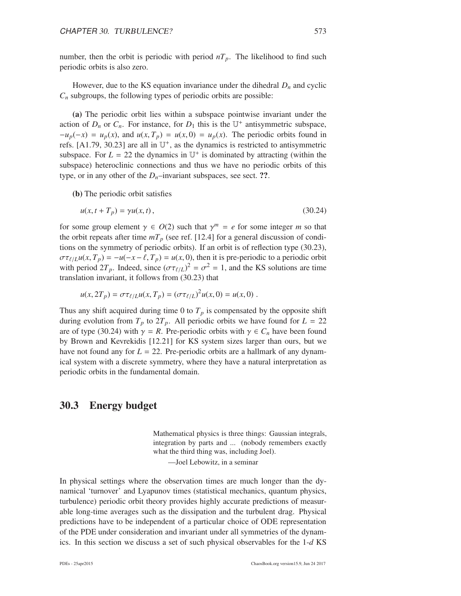number, then the orbit is periodic with period  $nT_p$ . The likelihood to find such periodic orbits is also zero.

However, due to the KS equation invariance under the dihedral  $D_n$  and cyclic  $C_n$  subgroups, the following types of periodic orbits are possible:

(a) The periodic orbit lies within a subspace pointwise invariant under the action of  $D_n$  or  $C_n$ . For instance, for  $D_1$  this is the  $\mathbb{U}^+$  antisymmetric subspace,  $-u_p(-x) = u_p(x)$ , and  $u(x, T_p) = u(x, 0) = u_p(x)$ . The periodic orbits found in refs. [A1.79, 30.23] are all in  $\mathbb{U}^+$ , as the dynamics is restricted to antisymmetric subspace. For  $L = 22$  the dynamics in  $\mathbb{U}^+$  is dominated by attracting (within the subspace) heteroclinic connections and thus we have no periodic orbits of this type, or in any other of the  $D<sub>n</sub>$ –invariant subspaces, see sect. ??.

(b) The periodic orbit satisfies

$$
u(x, t + T_p) = \gamma u(x, t), \qquad (30.24)
$$

for some group element  $\gamma \in O(2)$  such that  $\gamma^m = e$  for some integer *m* so that the orbit repeats after time  $mT_p$  (see ref. [12.4] for a general discussion of conditions on the symmetry of periodic orbits). If an orbit is of reflection type (30.23),  $\sigma \tau_{\ell/L} u(x, T_p) = -u(-x - \ell, T_p) = u(x, 0)$ , then it is pre-periodic to a periodic orbit with period  $2T_p$ . Indeed, since  $(\sigma \tau_{\ell/L})^2 = \sigma^2 = 1$ , and the KS solutions are time translation invariant, it follows from (30.23) that

$$
u(x, 2T_p) = \sigma \tau_{\ell/L} u(x, T_p) = (\sigma \tau_{\ell/L})^2 u(x, 0) = u(x, 0) .
$$

Thus any shift acquired during time 0 to  $T_p$  is compensated by the opposite shift during evolution from  $T_p$  to  $2T_p$ . All periodic orbits we have found for  $L = 22$ are of type (30.24) with  $\gamma = R$ . Pre-periodic orbits with  $\gamma \in C_n$  have been found by Brown and Kevrekidis [12.21] for KS system sizes larger than ours, but we have not found any for  $L = 22$ . Pre-periodic orbits are a hallmark of any dynamical system with a discrete symmetry, where they have a natural interpretation as periodic orbits in the fundamental domain.

#### 30.3 Energy budget

Mathematical physics is three things: Gaussian integrals, integration by parts and ... (nobody remembers exactly what the third thing was, including Joel).

—Joel Lebowitz, in a seminar

In physical settings where the observation times are much longer than the dynamical 'turnover' and Lyapunov times (statistical mechanics, quantum physics, turbulence) periodic orbit theory provides highly accurate predictions of measurable long-time averages such as the dissipation and the turbulent drag. Physical predictions have to be independent of a particular choice of ODE representation of the PDE under consideration and invariant under all symmetries of the dynamics. In this section we discuss a set of such physical observables for the 1-*d* KS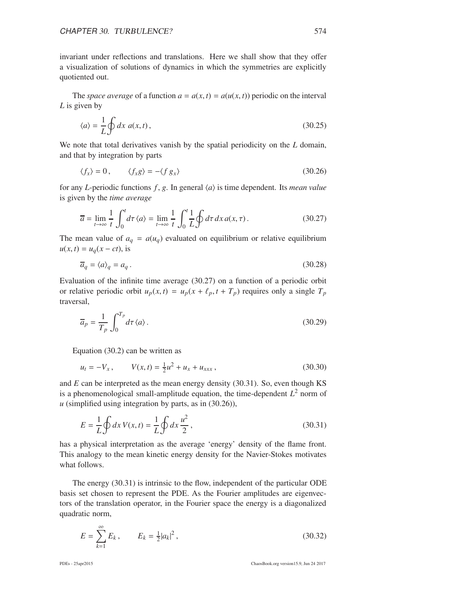invariant under reflections and translations. Here we shall show that they offer a visualization of solutions of dynamics in which the symmetries are explicitly quotiented out.

The *space average* of a function  $a = a(x, t) = a(u(x, t))$  periodic on the interval *L* is given by

$$
\langle a \rangle = \frac{1}{L} \oint dx \ a(x, t), \tag{30.25}
$$

We note that total derivatives vanish by the spatial periodicity on the *L* domain, and that by integration by parts

$$
\langle f_x \rangle = 0, \qquad \langle f_x g \rangle = -\langle f g_x \rangle \tag{30.26}
$$

for any *L*-periodic functions  $f$ ,  $g$ . In general  $\langle a \rangle$  is time dependent. Its *mean value* is given by the *time average*

$$
\overline{a} = \lim_{t \to \infty} \frac{1}{t} \int_0^t d\tau \langle a \rangle = \lim_{t \to \infty} \frac{1}{t} \int_0^t \frac{1}{L} \oint d\tau \, dx \, a(x, \tau).
$$
 (30.27)

The mean value of  $a_q = a(u_q)$  evaluated on equilibrium or relative equilibrium  $u(x, t) = u_q(x - ct)$ , is

$$
\overline{a}_q = \langle a \rangle_q = a_q. \tag{30.28}
$$

Evaluation of the infinite time average (30.27) on a function of a periodic orbit or relative periodic orbit  $u_p(x, t) = u_p(x + \ell_p, t + T_p)$  requires only a single  $T_p$ traversal,

$$
\overline{a}_p = \frac{1}{T_p} \int_0^{T_p} d\tau \langle a \rangle.
$$
 (30.29)

Equation (30.2) can be written as

$$
u_t = -V_x, \qquad V(x,t) = \frac{1}{2}u^2 + u_x + u_{xxx}, \qquad (30.30)
$$

and *E* can be interpreted as the mean energy density (30.31). So, even though KS is a phenomenological small-amplitude equation, the time-dependent *L* <sup>2</sup> norm of  $u$  (simplified using integration by parts, as in  $(30.26)$ ),

$$
E = \frac{1}{L} \oint dx V(x, t) = \frac{1}{L} \oint dx \frac{u^2}{2},
$$
\n(30.31)

has a physical interpretation as the average 'energy' density of the flame front. This analogy to the mean kinetic energy density for the Navier-Stokes motivates what follows.

The energy (30.31) is intrinsic to the flow, independent of the particular ODE basis set chosen to represent the PDE. As the Fourier amplitudes are eigenvectors of the translation operator, in the Fourier space the energy is a diagonalized quadratic norm,

$$
E = \sum_{k=1}^{\infty} E_k, \qquad E_k = \frac{1}{2} |a_k|^2, \tag{30.32}
$$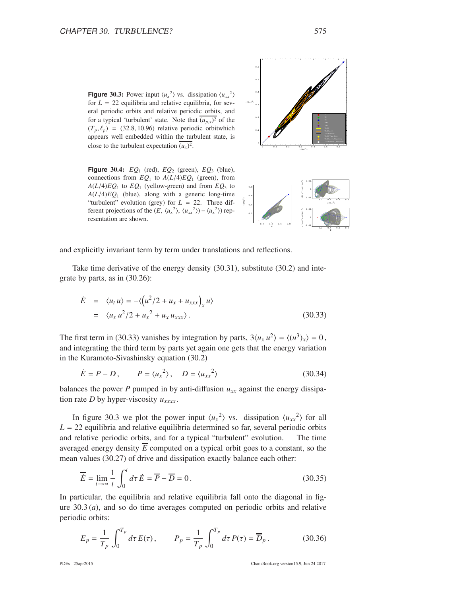**Figure 30.3:** Power input  $\langle u_x^2 \rangle$  vs. dissipation  $\langle u_{xx}^2 \rangle$ for  $L = 22$  equilibria and relative equilibria, for several periodic orbits and relative periodic orbits, and for a typical 'turbulent' state. Note that  $(u_{p,x})^2$  of the  $(T_p, \ell_p)$  = (32.8, 10.96) relative periodic orbitwhich appears well embedded within the turbulent state, is close to the turbulent expectation  $(u_x)^2$ 

**Figure** 30.4: *EQ*<sup>1</sup> (red), *EQ*<sup>2</sup> (green), *EQ*<sup>3</sup> (blue), connections from  $EQ_1$  to  $A(L/4)EQ_1$  (green), from  $A(L/4)EQ_1$  to  $EQ_1$  (yellow-green) and from  $EQ_3$  to  $A(L/4)EQ_1$  (blue), along with a generic long-time "turbulent" evolution (grey) for *L* = 22. Three different projections of the  $(E, \langle u_x^2 \rangle, \langle u_{xx}^2 \rangle) - \langle u_x^2 \rangle$  representation are shown.





u<sup>x</sup>

and explicitly invariant term by term under translations and reflections.

Take time derivative of the energy density (30.31), substitute (30.2) and integrate by parts, as in (30.26):

$$
\dot{E} = \langle u_t u \rangle = -\langle \left( u^2/2 + u_x + u_{xxx} \right)_x u \rangle
$$
  
=  $\langle u_x u^2/2 + u_x^2 + u_x u_{xxx} \rangle$ . (30.33)

The first term in (30.33) vanishes by integration by parts,  $3\langle u_x u^2 \rangle = \langle (u^3)_x \rangle = 0$ , and integrating the third term by parts yet again one gets that the energy variation in the Kuramoto-Sivashinsky equation (30.2)

$$
\dot{E} = P - D, \qquad P = \langle u_x^2 \rangle, \quad D = \langle u_{xx}^2 \rangle \tag{30.34}
$$

balances the power *P* pumped in by anti-diffusion  $u_{xx}$  against the energy dissipation rate *D* by hyper-viscosity  $u_{xxxx}$ .

In figure 30.3 we plot the power input  $\langle u_x^2 \rangle$  vs. dissipation  $\langle u_{xx}^2 \rangle$  for all  $L = 22$  equilibria and relative equilibria determined so far, several periodic orbits and relative periodic orbits, and for a typical "turbulent" evolution. The time averaged energy density  $\overline{E}$  computed on a typical orbit goes to a constant, so the mean values (30.27) of drive and dissipation exactly balance each other:

$$
\overline{\dot{E}} = \lim_{t \to \infty} \frac{1}{t} \int_0^t d\tau \dot{E} = \overline{P} - \overline{D} = 0.
$$
 (30.35)

In particular, the equilibria and relative equilibria fall onto the diagonal in figure  $30.3(a)$ , and so do time averages computed on periodic orbits and relative periodic orbits:

$$
E_p = \frac{1}{T_p} \int_0^{T_p} d\tau E(\tau), \qquad P_p = \frac{1}{T_p} \int_0^{T_p} d\tau P(\tau) = \overline{D}_p.
$$
 (30.36)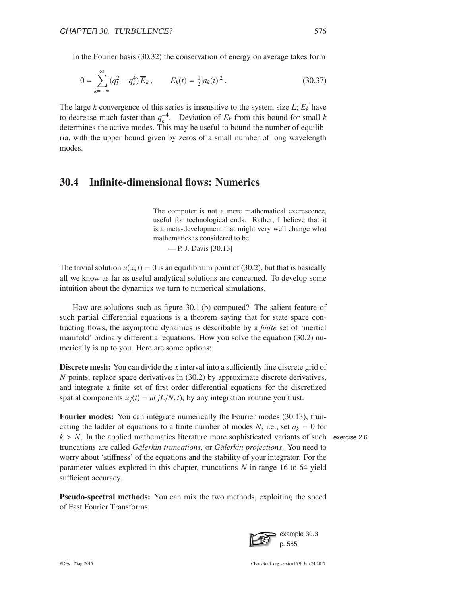In the Fourier basis (30.32) the conservation of energy on average takes form

$$
0 = \sum_{k=-\infty}^{\infty} (q_k^2 - q_k^4) \overline{E}_k, \qquad E_k(t) = \frac{1}{2} |a_k(t)|^2.
$$
 (30.37)

The large *k* convergence of this series is insensitive to the system size  $L$ ;  $\overline{E_k}$  have to decrease much faster than  $q_k^{-4}$ . Deviation of  $E_k$  from this bound for small *k* determines the active modes. This may be useful to bound the number of equilibria, with the upper bound given by zeros of a small number of long wavelength modes.

### 30.4 Infinite-dimensional flows: Numerics

The computer is not a mere mathematical excrescence, useful for technological ends. Rather, I believe that it is a meta-development that might very well change what mathematics is considered to be. — P. J. Davis [30.13]

The trivial solution  $u(x, t) = 0$  is an equilibrium point of (30.2), but that is basically all we know as far as useful analytical solutions are concerned. To develop some intuition about the dynamics we turn to numerical simulations.

How are solutions such as figure 30.1 (b) computed? The salient feature of such partial differential equations is a theorem saying that for state space contracting flows, the asymptotic dynamics is describable by a *finite* set of 'inertial manifold' ordinary differential equations. How you solve the equation (30.2) numerically is up to you. Here are some options:

Discrete mesh: You can divide the *x* interval into a sufficiently fine discrete grid of *N* points, replace space derivatives in (30.2) by approximate discrete derivatives, and integrate a finite set of first order differential equations for the discretized spatial components  $u_i(t) = u(iL/N, t)$ , by any integration routine you trust.

**Fourier modes:** You can integrate numerically the Fourier modes (30.13), truncating the ladder of equations to a finite number of modes N, i.e., set  $a_k = 0$  for  $k > N$ . In the applied mathematics literature more sophisticated variants of such exercise 2.6 truncations are called *Gälerkin truncations*, or *Gälerkin projections*. You need to worry about 'stiffness' of the equations and the stability of your integrator. For the parameter values explored in this chapter, truncations *N* in range 16 to 64 yield sufficient accuracy.

Pseudo-spectral methods: You can mix the two methods, exploiting the speed of Fast Fourier Transforms.

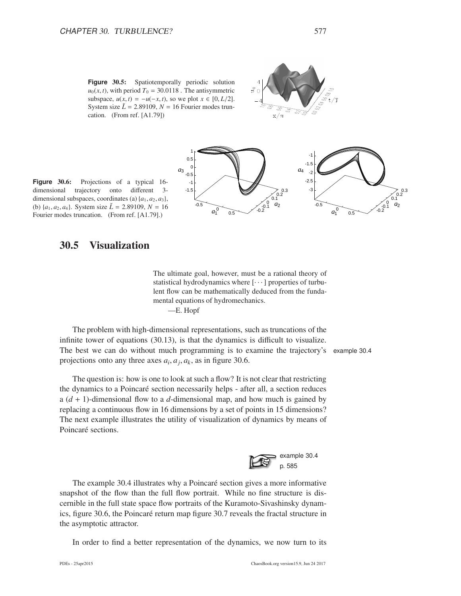Figure 30.5: Spatiotemporally periodic solution  $u_0(x, t)$ , with period  $T_0 = 30.0118$ . The antisymmetric subspace,  $u(x, t) = -u(-x, t)$ , so we plot  $x \in [0, L/2]$ . System size  $\tilde{L} = 2.89109$ ,  $N = 16$  Fourier modes truncation. (From ref. [A1.79])





#### 30.5 Visualization

The ultimate goal, however, must be a rational theory of statistical hydrodynamics where  $[\cdots]$  properties of turbulent flow can be mathematically deduced from the fundamental equations of hydromechanics. —E. Hopf

 $0.5$   $0.2$   $0.2$ 

 $-1.5$  0.3

 $\overline{0}$ . 0.2

*a*2

The problem with high-dimensional representations, such as truncations of the infinite tower of equations (30.13), is that the dynamics is difficult to visualize. The best we can do without much programming is to examine the trajectory's example 30.4 projections onto any three axes  $a_i$ ,  $a_j$ ,  $a_k$ , as in figure 30.6.

-0.5

-1  $-0.5$ 0  $0.5$ 1

*a*3

 $a_1^0$ 

The question is: how is one to look at such a flow? It is not clear that restricting the dynamics to a Poincaré section necessarily helps - after all, a section reduces a (*d* + 1)-dimensional flow to a *d*-dimensional map, and how much is gained by replacing a continuous flow in 16 dimensions by a set of points in 15 dimensions? The next example illustrates the utility of visualization of dynamics by means of Poincaré sections.



The example 30.4 illustrates why a Poincaré section gives a more informative snapshot of the flow than the full flow portrait. While no fine structure is discernible in the full state space flow portraits of the Kuramoto-Sivashinsky dynamics, figure 30.6, the Poincaré return map figure 30.7 reveals the fractal structure in the asymptotic attractor.

In order to find a better representation of the dynamics, we now turn to its

-0.5

-2.5 -2 -1.5 -1

*a*4

 $a_1^0$ 

 $0.5$   $0.2$   $0.2$   $0.2$   $0.2$   $0.3$   $0.2$   $0.3$   $0.2$   $0.3$   $0.2$   $0.3$   $0.2$   $0.3$   $0.4$   $0.2$   $0.5$   $0.6$   $0.7$   $0.8$   $0.2$   $0.3$   $0.2$   $0.3$   $0.4$   $0.5$   $0.6$   $0.7$   $0.8$   $0.8$   $0.7$   $0.8$   $0.8$   $0.9$   $0.8$   $0.9$   $0.9$ 

 $-3$   $\rightarrow$  0.3

 $0.1$ 0.2

*a*<sub>2</sub>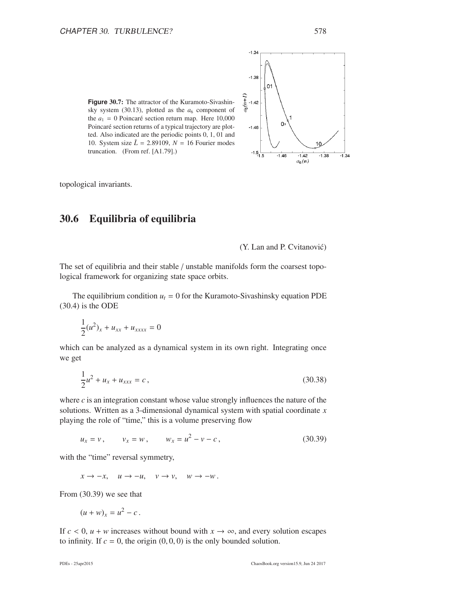

topological invariants.

### 30.6 Equilibria of equilibria

(Y. Lan and P. Cvitanović)

 $-1.46$ 

 $-1.42$ 

 $a_6(n)$ 

 $-1.38$ 

 $-1.34$ 

 $-1.34$ 

 $-1.38$ 

 $-1.42$ 

 $-1.46$ 

 $-1.5$   $-1.5$ 

 $\Omega$ 

The set of equilibria and their stable / unstable manifolds form the coarsest topological framework for organizing state space orbits.

The equilibrium condition  $u_t = 0$  for the Kuramoto-Sivashinsky equation PDE (30.4) is the ODE

$$
\frac{1}{2}(u^2)_x + u_{xx} + u_{xxxx} = 0
$$

which can be analyzed as a dynamical system in its own right. Integrating once we get

$$
\frac{1}{2}u^2 + u_x + u_{xxx} = c,
$$
\n(30.38)

where  $c$  is an integration constant whose value strongly influences the nature of the solutions. Written as a 3-dimensional dynamical system with spatial coordinate *x* playing the role of "time," this is a volume preserving flow

$$
u_x = v
$$
,  $v_x = w$ ,  $w_x = u^2 - v - c$ , (30.39)

with the "time" reversal symmetry,

 $x \rightarrow -x$ ,  $u \rightarrow -u$ ,  $v \rightarrow v$ ,  $w \rightarrow -w$ .

From (30.39) we see that

$$
(u+w)_x=u^2-c.
$$

If  $c < 0$ ,  $u + w$  increases without bound with  $x \to \infty$ , and every solution escapes to infinity. If  $c = 0$ , the origin  $(0, 0, 0)$  is the only bounded solution.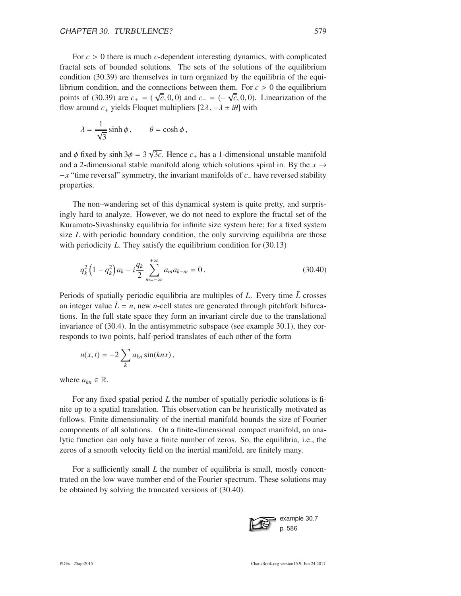For  $c > 0$  there is much *c*-dependent interesting dynamics, with complicated fractal sets of bounded solutions. The sets of the solutions of the equilibrium condition (30.39) are themselves in turn organized by the equilibria of the equilibrium condition, and the connections between them. For  $c > 0$  the equilibrium points of (30.39) are  $c_{+} = (\sqrt{c}, 0, 0)$  and  $c_{-} = (-\sqrt{c}, 0, 0)$ . Linearization of the flow around  $c_+$  yields Floquet multipliers  $[2\lambda, -\lambda \pm i\theta]$  with

$$
\lambda = \frac{1}{\sqrt{3}} \sinh \phi, \qquad \theta = \cosh \phi,
$$

and  $\phi$  fixed by sinh  $3\phi = 3\sqrt{3c}$ . Hence  $c_+$  has a 1-dimensional unstable manifold and a 2-dimensional stable manifold along which solutions spiral in. By the  $x \rightarrow$ −*x* "time reversal" symmetry, the invariant manifolds of *c*<sup>−</sup> have reversed stability properties.

The non–wandering set of this dynamical system is quite pretty, and surprisingly hard to analyze. However, we do not need to explore the fractal set of the Kuramoto-Sivashinsky equilibria for infinite size system here; for a fixed system size *L* with periodic boundary condition, the only surviving equilibria are those with periodicity *L*. They satisfy the equilibrium condition for (30.13)

$$
q_k^2 \left(1 - q_k^2\right) a_k - i \frac{q_k}{2} \sum_{m = -\infty}^{+\infty} a_m a_{k-m} = 0 \,. \tag{30.40}
$$

Periods of spatially periodic equilibria are multiples of *L*. Every time *L*˜ crosses an integer value  $\tilde{L} = n$ , new *n*-cell states are generated through pitchfork bifurcations. In the full state space they form an invariant circle due to the translational invariance of (30.4). In the antisymmetric subspace (see example 30.1), they corresponds to two points, half-period translates of each other of the form

$$
u(x,t) = -2\sum_{k} a_{kn} \sin(knx),
$$

where  $a_{kn} \in \mathbb{R}$ .

For any fixed spatial period *L* the number of spatially periodic solutions is finite up to a spatial translation. This observation can be heuristically motivated as follows. Finite dimensionality of the inertial manifold bounds the size of Fourier components of all solutions. On a finite-dimensional compact manifold, an analytic function can only have a finite number of zeros. So, the equilibria, i.e., the zeros of a smooth velocity field on the inertial manifold, are finitely many.

For a sufficiently small *L* the number of equilibria is small, mostly concentrated on the low wave number end of the Fourier spectrum. These solutions may be obtained by solving the truncated versions of (30.40).

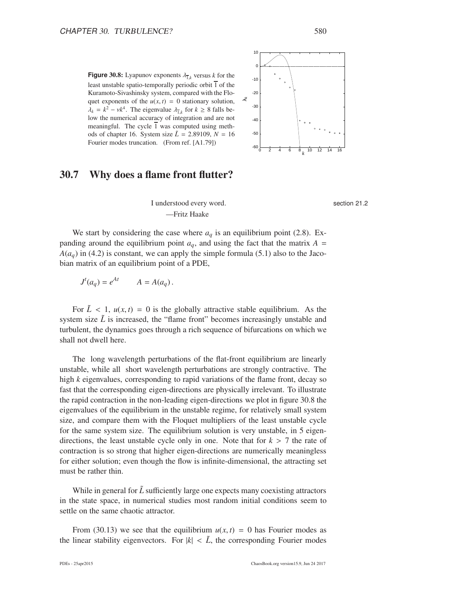**Figure** 30.8: Lyapunov exponents  $\lambda_{\overline{1},k}$  versus *k* for the least unstable spatio-temporally periodic orbit  $\overline{1}$  of the Kuramoto-Sivashinsky system, compared with the Floquet exponents of the  $u(x, t) = 0$  stationary solution,  $\lambda_k = k^2 - \nu k^4$ . The eigenvalue  $\lambda_{\overline{1},k}$  for  $k \ge 8$  falls below the numerical accuracy of integration and are not meaningful. The cycle  $\overline{1}$  was computed using methods of chapter 16. System size  $\tilde{L} = 2.89109$ ,  $N = 16$ Fourier modes truncation. (From ref. [A1.79])



### 30.7 Why does a flame front flutter?

section 21.2

I understood every word. —Fritz Haake

We start by considering the case where  $a_q$  is an equilibrium point (2.8). Expanding around the equilibrium point  $a_q$ , and using the fact that the matrix  $A =$  $A(a_q)$  in (4.2) is constant, we can apply the simple formula (5.1) also to the Jacobian matrix of an equilibrium point of a PDE,

$$
J^t(a_q) = e^{At} \qquad A = A(a_q).
$$

For  $\tilde{L}$  < 1,  $u(x, t) = 0$  is the globally attractive stable equilibrium. As the system size  $\tilde{L}$  is increased, the "flame front" becomes increasingly unstable and turbulent, the dynamics goes through a rich sequence of bifurcations on which we shall not dwell here.

The long wavelength perturbations of the flat-front equilibrium are linearly unstable, while all short wavelength perturbations are strongly contractive. The high *k* eigenvalues, corresponding to rapid variations of the flame front, decay so fast that the corresponding eigen-directions are physically irrelevant. To illustrate the rapid contraction in the non-leading eigen-directions we plot in figure 30.8 the eigenvalues of the equilibrium in the unstable regime, for relatively small system size, and compare them with the Floquet multipliers of the least unstable cycle for the same system size. The equilibrium solution is very unstable, in 5 eigendirections, the least unstable cycle only in one. Note that for  $k > 7$  the rate of contraction is so strong that higher eigen-directions are numerically meaningless for either solution; even though the flow is infinite-dimensional, the attracting set must be rather thin.

While in general for  $\tilde{L}$  sufficiently large one expects many coexisting attractors in the state space, in numerical studies most random initial conditions seem to settle on the same chaotic attractor.

From (30.13) we see that the equilibrium  $u(x, t) = 0$  has Fourier modes as the linear stability eigenvectors. For  $|k| < L$ , the corresponding Fourier modes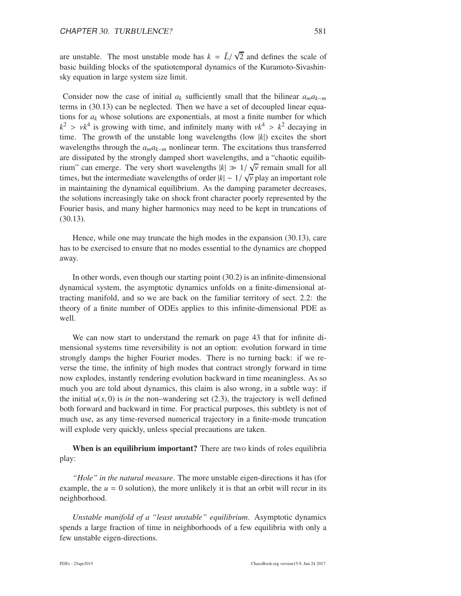are unstable. The most unstable mode has  $k = \tilde{L}/\sqrt{2}$  and defines the scale of basic building blocks of the spatiotemporal dynamics of the Kuramoto-Sivashinsky equation in large system size limit.

Consider now the case of initial  $a_k$  sufficiently small that the bilinear  $a_m a_{k-m}$ terms in (30.13) can be neglected. Then we have a set of decoupled linear equations for  $a_k$  whose solutions are exponentials, at most a finite number for which  $k^2 > v k^4$  is growing with time, and infinitely many with  $v k^4 > k^2$  decaying in time. The growth of the unstable long wavelengths (low |*k*|) excites the short wavelengths through the *amak*−*<sup>m</sup>* nonlinear term. The excitations thus transferred are dissipated by the strongly damped short wavelengths, and a "chaotic equilibrium" can emerge. The very short wavelengths  $|k| \gg 1/\sqrt{\nu}$  remain small for all times, but the intermediate wavelengths of order  $|k| \sim 1/\sqrt{v}$  play an important role in maintaining the dynamical equilibrium. As the damping parameter decreases, the solutions increasingly take on shock front character poorly represented by the Fourier basis, and many higher harmonics may need to be kept in truncations of (30.13).

Hence, while one may truncate the high modes in the expansion (30.13), care has to be exercised to ensure that no modes essential to the dynamics are chopped away.

In other words, even though our starting point (30.2) is an infinite-dimensional dynamical system, the asymptotic dynamics unfolds on a finite-dimensional attracting manifold, and so we are back on the familiar territory of sect. 2.2: the theory of a finite number of ODEs applies to this infinite-dimensional PDE as well.

We can now start to understand the remark on page 43 that for infinite dimensional systems time reversibility is not an option: evolution forward in time strongly damps the higher Fourier modes. There is no turning back: if we reverse the time, the infinity of high modes that contract strongly forward in time now explodes, instantly rendering evolution backward in time meaningless. As so much you are told about dynamics, this claim is also wrong, in a subtle way: if the initial  $u(x, 0)$  is *in* the non–wandering set (2.3), the trajectory is well defined both forward and backward in time. For practical purposes, this subtlety is not of much use, as any time-reversed numerical trajectory in a finite-mode truncation will explode very quickly, unless special precautions are taken.

When is an equilibrium important? There are two kinds of roles equilibria play:

*"Hole" in the natural measure*. The more unstable eigen-directions it has (for example, the  $u = 0$  solution), the more unlikely it is that an orbit will recur in its neighborhood.

*Unstable manifold of a "least unstable" equilibrium*. Asymptotic dynamics spends a large fraction of time in neighborhoods of a few equilibria with only a few unstable eigen-directions.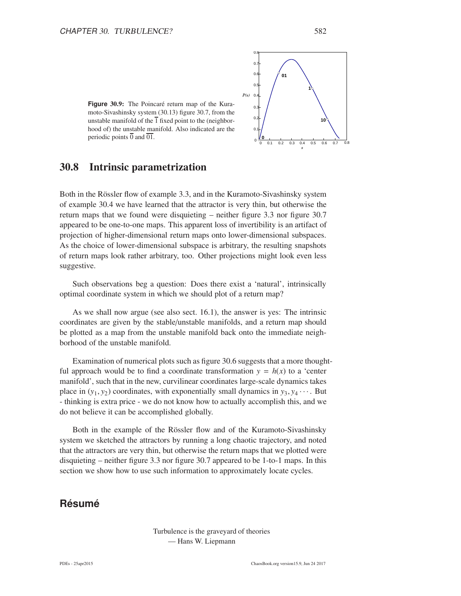



0.8

30.8 Intrinsic parametrization

Both in the Rössler flow of example 3.3, and in the Kuramoto-Sivashinsky system of example 30.4 we have learned that the attractor is very thin, but otherwise the return maps that we found were disquieting – neither figure 3.3 nor figure 30.7 appeared to be one-to-one maps. This apparent loss of invertibility is an artifact of projection of higher-dimensional return maps onto lower-dimensional subspaces. As the choice of lower-dimensional subspace is arbitrary, the resulting snapshots of return maps look rather arbitrary, too. Other projections might look even less suggestive.

Such observations beg a question: Does there exist a 'natural', intrinsically optimal coordinate system in which we should plot of a return map?

As we shall now argue (see also sect. 16.1), the answer is yes: The intrinsic coordinates are given by the stable/unstable manifolds, and a return map should be plotted as a map from the unstable manifold back onto the immediate neighborhood of the unstable manifold.

Examination of numerical plots such as figure 30.6 suggests that a more thoughtful approach would be to find a coordinate transformation  $y = h(x)$  to a 'center manifold', such that in the new, curvilinear coordinates large-scale dynamics takes place in  $(y_1, y_2)$  coordinates, with exponentially small dynamics in  $y_3, y_4 \cdots$ . But - thinking is extra price - we do not know how to actually accomplish this, and we do not believe it can be accomplished globally.

Both in the example of the Rössler flow and of the Kuramoto-Sivashinsky system we sketched the attractors by running a long chaotic trajectory, and noted that the attractors are very thin, but otherwise the return maps that we plotted were disquieting – neither figure 3.3 nor figure 30.7 appeared to be 1-to-1 maps. In this section we show how to use such information to approximately locate cycles.

### **Résumé**

Turbulence is the graveyard of theories — Hans W. Liepmann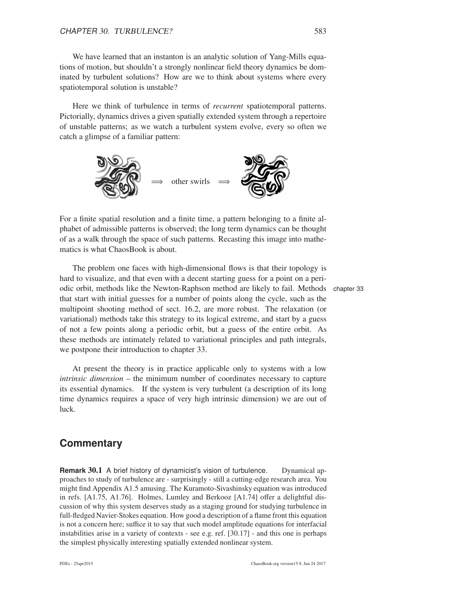We have learned that an instanton is an analytic solution of Yang-Mills equations of motion, but shouldn't a strongly nonlinear field theory dynamics be dominated by turbulent solutions? How are we to think about systems where every spatiotemporal solution is unstable?

Here we think of turbulence in terms of *recurrent* spatiotemporal patterns. Pictorially, dynamics drives a given spatially extended system through a repertoire of unstable patterns; as we watch a turbulent system evolve, every so often we catch a glimpse of a familiar pattern:



For a finite spatial resolution and a finite time, a pattern belonging to a finite alphabet of admissible patterns is observed; the long term dynamics can be thought of as a walk through the space of such patterns. Recasting this image into mathematics is what ChaosBook is about.

The problem one faces with high-dimensional flows is that their topology is hard to visualize, and that even with a decent starting guess for a point on a periodic orbit, methods like the Newton-Raphson method are likely to fail. Methods chapter 33 that start with initial guesses for a number of points along the cycle, such as the multipoint shooting method of sect. 16.2, are more robust. The relaxation (or variational) methods take this strategy to its logical extreme, and start by a guess of not a few points along a periodic orbit, but a guess of the entire orbit. As these methods are intimately related to variational principles and path integrals, we postpone their introduction to chapter 33.

At present the theory is in practice applicable only to systems with a low *intrinsic dimension* – the minimum number of coordinates necessary to capture its essential dynamics. If the system is very turbulent (a description of its long time dynamics requires a space of very high intrinsic dimension) we are out of luck.

### **Commentary**

**Remark 30.1** A brief history of dynamicist's vision of turbulence. Dynamical approaches to study of turbulence are - surprisingly - still a cutting-edge research area. You might find Appendix A1.5 amusing. The Kuramoto-Sivashinsky equation was introduced in refs. [A1.75, A1.76]. Holmes, Lumley and Berkooz [A1.74] offer a delightful discussion of why this system deserves study as a staging ground for studying turbulence in full-fledged Navier-Stokes equation. How good a description of a flame front this equation is not a concern here; suffice it to say that such model amplitude equations for interfacial instabilities arise in a variety of contexts - see e.g. ref. [30.17] - and this one is perhaps the simplest physically interesting spatially extended nonlinear system.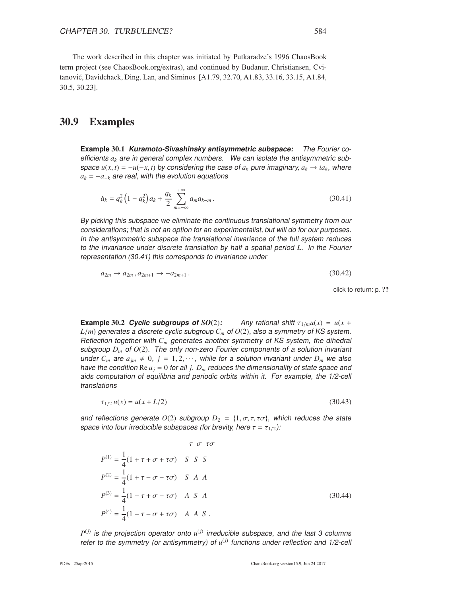The work described in this chapter was initiated by Putkaradze's 1996 ChaosBook term project (see ChaosBook.org/extras), and continued by Budanur, Christiansen, Cvitanovi´c, Davidchack, Ding, Lan, and Siminos [A1.79, 32.70, A1.83, 33.16, 33.15, A1.84, 30.5, 30.23].

### 30.9 Examples

**Example** 30.1 **Kuramoto-Sivashinsky antisymmetric subspace:** The Fourier coefficients *a<sup>k</sup>* are in general complex numbers. We can isolate the antisymmetric subspace  $u(x, t) = -u(-x, t)$  by considering the case of  $a_k$  pure imaginary,  $a_k \rightarrow ia_k$ , where  $a_k = -a_{-k}$  are real, with the evolution equations

$$
\dot{a}_k = q_k^2 \left( 1 - q_k^2 \right) a_k + \frac{q_k}{2} \sum_{m = -\infty}^{+\infty} a_m a_{k-m} \,. \tag{30.41}
$$

By picking this subspace we eliminate the continuous translational symmetry from our considerations; that is not an option for an experimentalist, but will do for our purposes. In the antisymmetric subspace the translational invariance of the full system reduces to the invariance under discrete translation by half <sup>a</sup> spatial period *L*. In the Fourier representation (30.41) this corresponds to invariance under

$$
a_{2m} \to a_{2m}, a_{2m+1} \to -a_{2m+1}.
$$
\n(30.42)

click to return: p. ??

**Example 30.2** *Cyclic subgroups of*  $SO(2)$ : Any rational shift  $\tau_{1/m}u(x) = u(x +$  $L/m$ ) generates a discrete cyclic subgroup  $C_m$  of  $O(2)$ , also a symmetry of KS system. Reflection together with *C<sup>m</sup>* generates another symmetry of KS system, the dihedral subgroup  $D_m$  of  $O(2)$ . The only non-zero Fourier components of a solution invariant under  $C_m$  are  $a_{jm} \neq 0$ ,  $j = 1, 2, \cdots$ , while for a solution invariant under  $D_m$  we also have the condition  $\text{Re } a_j = 0$  for all *j*.  $D_m$  reduces the dimensionality of state space and aids computation of equilibria and periodic orbits within it. For example, the 1/2-cell translations

$$
\tau_{1/2} u(x) = u(x + L/2) \tag{30.43}
$$

and reflections generate  $O(2)$  subgroup  $D_2 = \{1, \sigma, \tau, \tau\sigma\}$ , which reduces the state space into four irreducible subspaces (for brevity, here  $\tau = \tau_{1/2}$ ):

$$
\tau \ \sigma \ \tau \sigma
$$
  
\n
$$
P^{(1)} = \frac{1}{4} (1 + \tau + \sigma + \tau \sigma) \quad S \quad S \quad S
$$
  
\n
$$
P^{(2)} = \frac{1}{4} (1 + \tau - \sigma - \tau \sigma) \quad S \quad A \quad A
$$
  
\n
$$
P^{(3)} = \frac{1}{4} (1 - \tau + \sigma - \tau \sigma) \quad A \quad S \quad A
$$
  
\n
$$
P^{(4)} = \frac{1}{4} (1 - \tau - \sigma + \tau \sigma) \quad A \quad A \quad S \quad .
$$
  
\n(30.44)

 $P^{(j)}$  is the projection operator onto  $u^{(j)}$  irreducible subspace, and the last 3 columns refer to the symmetry (or antisymmetry) of  $u^{(j)}$  functions under reflection and 1/2-cell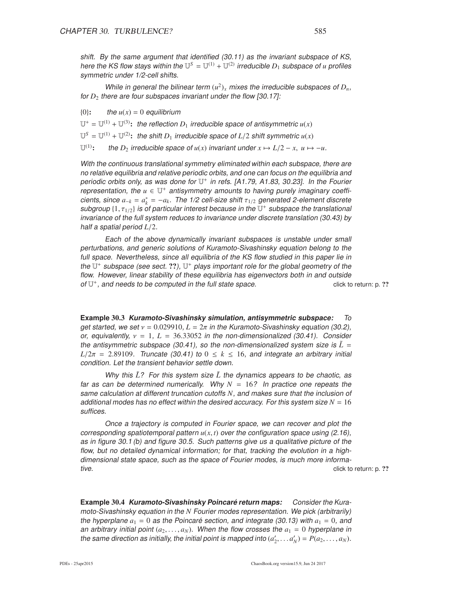shift. By the same argument that identified (30.11) as the invariant subspace of KS, here the KS flow stays within the  $\mathbb{U}^S = \mathbb{U}^{(1)} + \mathbb{U}^{(2)}$  irreducible  $D_1$  subspace of *u* profiles symmetric under 1/2-cell shifts.

While in general the bilinear term  $(u^2)_x$  mixes the irreducible subspaces of  $D_n$ , for  $D_2$  there are four subspaces invariant under the flow [30.17]:

 ${0}$ : the  $u(x) = 0$  equilibrium

 $U^+ = U^{(1)} + U^{(3)}$ : the reflection  $D_1$  irreducible space of antisymmetric  $u(x)$ 

 $\mathbb{U}^S = \mathbb{U}^{(1)} + \mathbb{U}^{(2)}$ : the shift  $D_1$  irreducible space of  $L/2$  shift symmetric  $u(x)$ 

 $\mathbb{U}^{(1)}$ : the *D*<sub>2</sub> irreducible space of *u*(*x*) invariant under  $x \mapsto L/2 - x$ ,  $u \mapsto -u$ .

With the continuous translational symmetry eliminated within each subspace, there are no relative equilibria and relative periodic orbits, and one can focus on the equilibria and periodic orbits only, as was done for  $\mathbb{U}^+$  in refs. [A1.79, A1.83, 30.23]. In the Fourier representation, the  $u \in U^+$  antisymmetry amounts to having purely imaginary coefficients, since  $a_{-k} = a_k^* = -a_k$ . The 1/2 cell-size shift  $\tau_{1/2}$  generated 2-element discrete subgroup  $\{1,\tau_{1/2}\}$  is of particular interest because in the  $\mathbb{U}^+$  subspace the translational invariance of the full system reduces to invariance under discrete translation (30.43) by half <sup>a</sup> spatial period *L*/2.

Each of the above dynamically invariant subspaces is unstable under small perturbations, and generic solutions of Kuramoto-Sivashinsky equation belong to the full space. Nevertheless, since all equilibria of the KS flow studied in this paper lie in the  $\mathbb{U}^+$  subspace (see sect. ??),  $\mathbb{U}^+$  plays important role for the global geometry of the flow. However, linear stability of these equilibria has eigenvectors both in and outside of  $U^+$ , and needs to be computed in the full state space.  $\Box$  click to return: p. ??

**Example** 30.3 **Kuramoto-Sivashinsky simulation, antisymmetric subspace:** To get started, we set  $v = 0.029910$ ,  $L = 2\pi$  in the Kuramoto-Sivashinsky equation (30.2), or, equivalently,  $v = 1$ ,  $L = 36.33052$  in the non-dimensionalized (30.41). Consider the antisymmetric subspace (30.41), so the non-dimensionalized system size is  $\tilde{L} =$ *L*/2 $\pi$  = 2.89109. Truncate (30.41) to  $0 \le k \le 16$ , and integrate an arbitrary initial condition. Let the transient behavior settle down.

Why this  $\tilde{L}$ ? For this system size  $\tilde{L}$  the dynamics appears to be chaotic, as far as can be determined numerically. Why  $N = 16$ ? In practice one repeats the same calculation at different truncation cutoffs *N*, and makes sure that the inclusion of additional modes has no effect within the desired accuracy. For this system size  $N = 16$ suffices.

Once <sup>a</sup> trajectory is computed in Fourier space, we can recover and plot the corresponding spatiotemporal pattern  $u(x, t)$  over the configuration space using (2.16), as in figure 30.1 (b) and figure 30.5. Such patterns give us <sup>a</sup> qualitative picture of the flow, but no detailed dynamical information; for that, tracking the evolution in a highdimensional state space, such as the space of Fourier modes, is much more informative. The click to return: p. ??

**Example** 30.4 **Kuramoto-Sivashinsky Poincare return maps: ´** Consider the Kuramoto-Sivashinsky equation in the *N* Fourier modes representation. We pick (arbitrarily) the hyperplane  $a_1 = 0$  as the Poincaré section, and integrate (30.13) with  $a_1 = 0$ , and an arbitrary initial point  $(a_2, \ldots, a_N)$ . When the flow crosses the  $a_1 = 0$  hyperplane in the same direction as initially, the initial point is mapped into  $(a'_2, \ldots, a'_N) = P(a_2, \ldots, a_N)$ .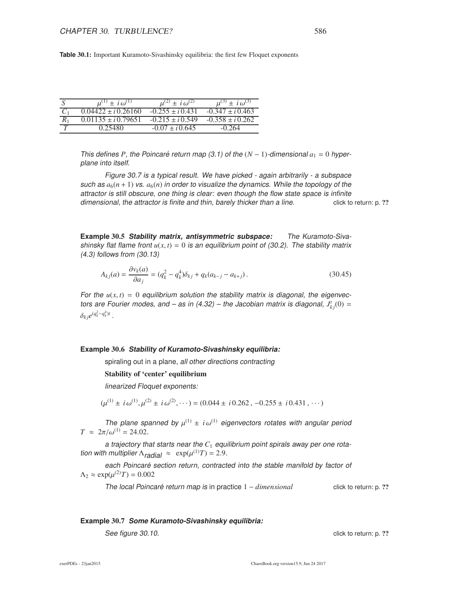**Table** 30.1: Important Kuramoto-Sivashinsky equilibria: the first few Floquet exponents

|       | $\mu^{(1)} \pm i \omega^{(1)}$ | $\mu^{(2)} \pm i \omega^{(2)}$ | $u^{(3)} \pm i \omega^{(3)}$ |
|-------|--------------------------------|--------------------------------|------------------------------|
|       | $0.04422 \pm i 0.26160$        | $-0.255 \pm i 0.431$           | $-0.347 \pm i 0.463$         |
| $R_1$ | $0.01135 \pm i 0.79651$        | $-0.215 \pm i 0.549$           | $-0.358 \pm i 0.262$         |
|       | 0.25480                        | $-0.07 \pm i 0.645$            | $-0.264$                     |

This defines *P*, the Poincaré return map (3.1) of the  $(N - 1)$ -dimensional  $a_1 = 0$  hyperplane into itself.

Figure 30.7 is <sup>a</sup> typical result. We have picked - again arbitrarily - <sup>a</sup> subspace such as  $a_6(n + 1)$  vs.  $a_6(n)$  in order to visualize the dynamics. While the topology of the attractor is still obscure, one thing is clear: even though the flow state space is infinite dimensional, the attractor is finite and thin, barely thicker than a line. click to return: p. ??

**Example** 30.5 **Stability matrix, antisymmetric subspace:** The Kuramoto-Sivashinsky flat flame front  $u(x, t) = 0$  is an equilibrium point of (30.2). The stability matrix (4.3) follows from (30.13)

$$
A_{kj}(a) = \frac{\partial v_k(a)}{\partial a_j} = (q_k^2 - q_k^4)\delta_{kj} + q_k(a_{k-j} - a_{k+j}).
$$
\n(30.45)

For the  $u(x, t) = 0$  equilibrium solution the stability matrix is diagonal, the eigenvectors are Fourier modes, and – as in (4.32) – the Jacobian matrix is diagonal,  $J_{kj}^t(0) =$  $\delta_{kj} e^{(q_k^2 - q_k^4)t}$ .

#### **Example** 30.6 **Stability of Kuramoto-Sivashinsky equilibria:**

spiraling out in a plane, all other directions contracting

#### Stability of 'center' equilibrium

linearized Floquet exponents:

$$
(\mu^{(1)} \pm i \omega^{(1)}, \mu^{(2)} \pm i \omega^{(2)}, \cdots) = (0.044 \pm i 0.262, -0.255 \pm i 0.431, \cdots)
$$

The plane spanned by  $\mu^{(1)} \pm i \omega^{(1)}$  eigenvectors rotates with angular period  $T \approx 2\pi/\omega^{(1)} = 24.02$ .

a trajectory that starts near the  $C_1$  equilibrium point spirals away per one rotation with multiplier  $\Lambda_{radial} \approx \exp(\mu^{(1)}T) = 2.9$ .

each Poincaré section return, contracted into the stable manifold by factor of  $\Lambda_2 \approx \exp(\mu^{(2)}T) = 0.002$ 

The local Poincaré return map is in practice  $1 - dimensional$  click to return: p. ??

#### **Example** 30.7 **Some Kuramoto-Sivashinsky equilibria:**

See figure 30.10. Click to return: p. ??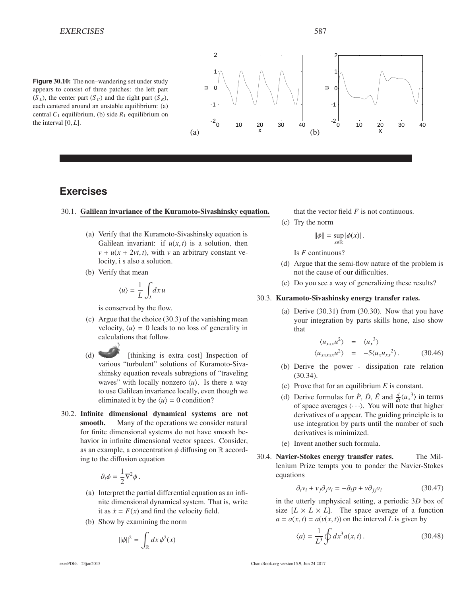**Figure** 30.10: The non–wandering set under study appears to consist of three patches: the left part  $(S_L)$ , the center part  $(S_C)$  and the right part  $(S_R)$ , each centered around an unstable equilibrium: (a) central  $C_1$  equilibrium, (b) side  $R_1$  equilibrium on the interval [0, *L*].



### **Exercises**

#### 30.1. Galilean invariance of the Kuramoto-Sivashinsky equation.

- (a) Verify that the Kuramoto-Sivashinsky equation is Galilean invariant: if  $u(x, t)$  is a solution, then  $v + u(x + 2vt, t)$ , with *v* an arbitrary constant velocity, i s also a solution.
- (b) Verify that mean

$$
\langle u \rangle = \frac{1}{L} \int_{L} dx \, u
$$

is conserved by the flow.

- (c) Argue that the choice (30.3) of the vanishing mean velocity,  $\langle u \rangle = 0$  leads to no loss of generality in calculations that follow.
- (d) [thinking is extra cost] Inspection of various "turbulent" solutions of Kuramoto-Sivashinsky equation reveals subregions of "traveling waves" with locally nonzero  $\langle u \rangle$ . Is there a way to use Galilean invariance locally, even though we eliminated it by the  $\langle u \rangle = 0$  condition?
- 30.2. Infinite dimensional dynamical systems are not smooth. Many of the operations we consider natural for finite dimensional systems do not have smooth behavior in infinite dimensional vector spaces. Consider, as an example, a concentration  $\phi$  diffusing on R according to the diffusion equation

$$
\partial_t \phi = \frac{1}{2} \nabla^2 \phi \,.
$$

- (a) Interpret the partial differential equation as an infinite dimensional dynamical system. That is, write it as  $\dot{x} = F(x)$  and find the velocity field.
- (b) Show by examining the norm

$$
\|\phi\|^2 = \int_{\mathbb{R}} dx \, \phi^2(x)
$$

that the vector field *F* is not continuous.

(c) Try the norm

$$
\|\phi\| = \sup_{x \in \mathbb{R}} |\phi(x)|.
$$

Is *F* continuous?

- (d) Argue that the semi-flow nature of the problem is not the cause of our difficulties.
- (e) Do you see a way of generalizing these results?

#### 30.3. Kuramoto-Sivashinsky energy transfer rates.

(a) Derive  $(30.31)$  from  $(30.30)$ . Now that you have your integration by parts skills hone, also show that

$$
\langle u_{xxx} u^2 \rangle = \langle u_x^3 \rangle
$$
  

$$
\langle u_{xxxx} u^2 \rangle = -5 \langle u_x u_{xx}^2 \rangle.
$$
 (30.46)

- (b) Derive the power dissipation rate relation (30.34).
- (c) Prove that for an equilibrium *E* is constant.
- (d) Derive formulas for  $\dot{P}$ ,  $\dot{D}$ ,  $\ddot{E}$  and  $\frac{d}{dt}\langle u_x^3 \rangle$  in terms of space averages  $\langle \cdots \rangle$ . You will note that higher derivatives of *u* appear. The guiding principle is to use integration by parts until the number of such derivatives is minimized.
- (e) Invent another such formula.
- 30.4. Navier-Stokes energy transfer rates. The Millenium Prize tempts you to ponder the Navier-Stokes equations

$$
\partial_t v_i + v_j \partial_j v_i = -\partial_i p + v \partial_{jj} v_i \tag{30.47}
$$

in the utterly unphysical setting, a periodic 3*D* box of size  $[L \times L \times L]$ . The space average of a function  $a = a(x, t) = a(v(x, t))$  on the interval *L* is given by

$$
\langle a \rangle = \frac{1}{L^3} \oint dx^3 a(x, t).
$$
 (30.48)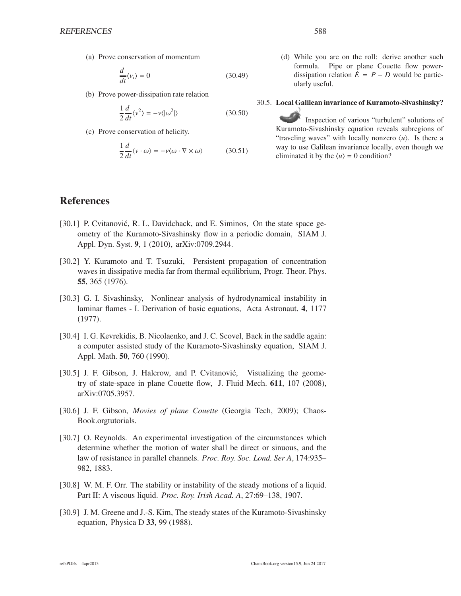(a) Prove conservation of momentum

$$
\frac{d}{dt}\langle v_i \rangle = 0\tag{30.49}
$$

(b) Prove power-dissipation rate relation

$$
\frac{1}{2}\frac{d}{dt}\langle v^2 \rangle = -v \langle |\omega^2| \rangle \tag{30.50}
$$

(c) Prove conservation of helicity.

$$
\frac{1}{2}\frac{d}{dt}\langle v \cdot \omega \rangle = -v\langle \omega \cdot \nabla \times \omega \rangle \tag{30.51}
$$

(d) While you are on the roll: derive another such formula. Pipe or plane Couette flow powerdissipation relation  $\dot{E} = P - D$  would be particularly useful.

#### 30.5. Local Galilean invariance of Kuramoto-Sivashinsky?

Inspection of various "turbulent" solutions of Kuramoto-Sivashinsky equation reveals subregions of "traveling waves" with locally nonzero  $\langle u \rangle$ . Is there a way to use Galilean invariance locally, even though we eliminated it by the  $\langle u \rangle = 0$  condition?

### **References**

- [30.1] P. Cvitanović, R. L. Davidchack, and E. Siminos, On the state space geometry of the Kuramoto-Sivashinsky flow in a periodic domain, SIAM J. Appl. Dyn. Syst. 9, 1 (2010), arXiv:0709.2944.
- [30.2] Y. Kuramoto and T. Tsuzuki, Persistent propagation of concentration waves in dissipative media far from thermal equilibrium, Progr. Theor. Phys. 55, 365 (1976).
- [30.3] G. I. Sivashinsky, Nonlinear analysis of hydrodynamical instability in laminar flames - I. Derivation of basic equations, Acta Astronaut. 4, 1177 (1977).
- [30.4] I. G. Kevrekidis, B. Nicolaenko, and J. C. Scovel, Back in the saddle again: a computer assisted study of the Kuramoto-Sivashinsky equation, SIAM J. Appl. Math. 50, 760 (1990).
- [30.5] J. F. Gibson, J. Halcrow, and P. Cvitanović, Visualizing the geometry of state-space in plane Couette flow, J. Fluid Mech. 611, 107 (2008), arXiv:0705.3957.
- [30.6] J. F. Gibson, *Movies of plane Couette* (Georgia Tech, 2009); Chaos-Book.orgtutorials.
- [30.7] O. Reynolds. An experimental investigation of the circumstances which determine whether the motion of water shall be direct or sinuous, and the law of resistance in parallel channels. *Proc. Roy. Soc. Lond. Ser A*, 174:935– 982, 1883.
- [30.8] W. M. F. Orr. The stability or instability of the steady motions of a liquid. Part II: A viscous liquid. *Proc. Roy. Irish Acad. A*, 27:69–138, 1907.
- [30.9] J. M. Greene and J.-S. Kim, The steady states of the Kuramoto-Sivashinsky equation, Physica D 33, 99 (1988).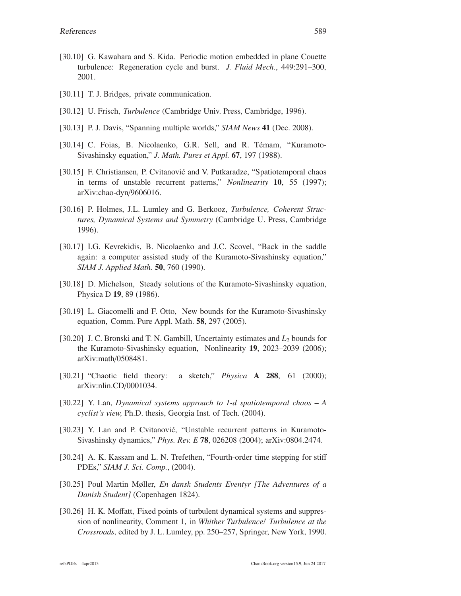- [30.10] G. Kawahara and S. Kida. Periodic motion embedded in plane Couette turbulence: Regeneration cycle and burst. *J. Fluid Mech.*, 449:291–300, 2001.
- [30.11] T. J. Bridges, private communication.
- [30.12] U. Frisch, *Turbulence* (Cambridge Univ. Press, Cambridge, 1996).
- [30.13] P. J. Davis, "Spanning multiple worlds," *SIAM News* 41 (Dec. 2008).
- [30.14] C. Foias, B. Nicolaenko, G.R. Sell, and R. Témam, "Kuramoto-Sivashinsky equation," *J. Math. Pures et Appl.* 67, 197 (1988).
- [30.15] F. Christiansen, P. Cvitanović and V. Putkaradze, "Spatiotemporal chaos in terms of unstable recurrent patterns," *Nonlinearity* 10, 55 (1997); arXiv:chao-dyn/9606016.
- [30.16] P. Holmes, J.L. Lumley and G. Berkooz, *Turbulence, Coherent Structures, Dynamical Systems and Symmetry* (Cambridge U. Press, Cambridge 1996).
- [30.17] I.G. Kevrekidis, B. Nicolaenko and J.C. Scovel, "Back in the saddle again: a computer assisted study of the Kuramoto-Sivashinsky equation," *SIAM J. Applied Math.* 50, 760 (1990).
- [30.18] D. Michelson, Steady solutions of the Kuramoto-Sivashinsky equation, Physica D 19, 89 (1986).
- [30.19] L. Giacomelli and F. Otto, New bounds for the Kuramoto-Sivashinsky equation, Comm. Pure Appl. Math. 58, 297 (2005).
- [30.20] J. C. Bronski and T. N. Gambill, Uncertainty estimates and *L*<sup>2</sup> bounds for the Kuramoto-Sivashinsky equation, Nonlinearity 19, 2023–2039 (2006); arXiv:math/0508481.
- [30.21] "Chaotic field theory: a sketch," *Physica* A 288, 61 (2000); arXiv:nlin.CD/0001034.
- [30.22] Y. Lan, *Dynamical systems approach to 1-d spatiotemporal chaos A cyclist's view,* Ph.D. thesis, Georgia Inst. of Tech. (2004).
- [30.23] Y. Lan and P. Cvitanović, "Unstable recurrent patterns in Kuramoto-Sivashinsky dynamics," *Phys. Rev. E* 78, 026208 (2004); arXiv:0804.2474.
- [30.24] A. K. Kassam and L. N. Trefethen, "Fourth-order time stepping for stiff PDEs," *SIAM J. Sci. Comp.*, (2004).
- [30.25] Poul Martin Møller, *En dansk Students Eventyr [The Adventures of a Danish Student]* (Copenhagen 1824).
- [30.26] H. K. Moffatt, Fixed points of turbulent dynamical systems and suppression of nonlinearity, Comment 1, in *Whither Turbulence! Turbulence at the Crossroads*, edited by J. L. Lumley, pp. 250–257, Springer, New York, 1990.